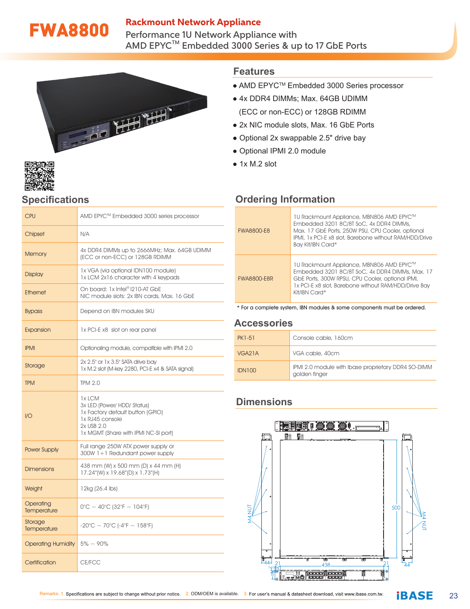## Rackmount Network Appliance

FWA8800 Performance 1U Network Appliance with AMD EPYC $^{\sf TM}$  Embedded 3000 Series & up to 17 GbE Ports





# **Specifications**

| CPU                       | AMD EPYC™ Embedded 3000 series processor                                                                                                           |  |  |
|---------------------------|----------------------------------------------------------------------------------------------------------------------------------------------------|--|--|
| Chipset                   | N/A                                                                                                                                                |  |  |
| <b>Memory</b>             | 4x DDR4 DIMMs up to 2666MHz; Max. 64GB UDIMM<br>(ECC or non-ECC) or 128GB RDIMM                                                                    |  |  |
| <b>Display</b>            | 1x VGA (via optional IDN100 module)<br>1x LCM 2x16 character with 4 keypads                                                                        |  |  |
| <b>Ethernet</b>           | On board: 1x Intel® I210-AT GbE<br>NIC module slots: 2x IBN cards, Max, 16 GbE                                                                     |  |  |
| <b>Bypass</b>             | Depend on IBN modules SKU                                                                                                                          |  |  |
| Expansion                 | 1x PCI-E x8 slot on rear panel                                                                                                                     |  |  |
| <b>IPMI</b>               | Optionaling module, compatible with IPMI 2.0                                                                                                       |  |  |
| Storage                   | 2x 2.5" or 1x 3.5" SATA drive bay<br>1x M.2 slot (M-key 2280, PCI-E x4 & SATA signal)                                                              |  |  |
| <b>TPM</b>                | <b>TPM 2.0</b>                                                                                                                                     |  |  |
| 1/O                       | 1x LCM<br>3x LED (Power/ HDD/ Status)<br>1x Factory default button (GPIO)<br>1x RJ45 console<br>2x USB 2.0<br>1x MGMT (Share with IPMI NC-SI port) |  |  |
| Power Supply              | Full range 250W ATX power supply or<br>300W 1+1 Redundant power supply                                                                             |  |  |
| <b>Dimensions</b>         | 438 mm (W) x 500 mm (D) x 44 mm (H)<br>17.24" (W) x 19.68" (D) x 1.73" (H)                                                                         |  |  |
| Weight                    | 12kg (26.4 lbs)                                                                                                                                    |  |  |
| Operating<br>Temperature  | $0^{\circ}$ C ~ 40°C (32°F ~ 104°F)                                                                                                                |  |  |
| Storage<br>Temperature    | $-20^{\circ}$ C ~ 70°C (-4°F ~ 158°F)                                                                                                              |  |  |
| <b>Operating Humidity</b> | $5\% \sim 90\%$                                                                                                                                    |  |  |
| Certification             | CE/FCC                                                                                                                                             |  |  |

## **Features**

- AMD EPYC™ Embedded 3000 Series processor
- 4x DDR4 DIMMs: Max. 64GB UDIMM (ECC or non-ECC) or 128GB RDIMM
- 2x NIC module slots, Max. 16 GbE Ports
- Optional 2x swappable 2.5" drive bay
- Optional IPMI 2.0 module
- $\bullet$  1x M.2 slot

# **Ordering Information**

| <b>FWA8800-E8</b>  | 1U Rackmount Appliance, MBN806 AMD EPYC™<br>Embedded 3201 8C/8T SoC, 4x DDR4 DIMMs,<br>Max. 17 GbE Ports, 250W PSU, CPU Cooler, optional<br>IPMI, 1x PCI-E x8 slot, Barebone without RAM/HDD/Drive<br>Bay Kit/IBN Card*  |
|--------------------|--------------------------------------------------------------------------------------------------------------------------------------------------------------------------------------------------------------------------|
| <b>FWA8800-E8R</b> | 1U Rackmount Appliance, MBN806 AMD EPYC™<br>Embedded 3201 8C/8T SoC, 4x DDR4 DIMMs, Max, 17<br>GbE Ports, 300W RPSU, CPU Cooler, optional IPMI,<br>1x PCI-E x8 slot, Barebone without RAM/HDD/Drive Bay<br>Kit/IBN Card* |

\* For a complete system, IBN modules & some components must be ordered.

#### **Accessories**

| PK1-51 | Console cable, 160cm                                                 |
|--------|----------------------------------------------------------------------|
| VGA21A | VGA cable, 40cm                                                      |
| IDN100 | IPMI 2.0 module with Ibase proprietary DDR4 SO-DIMM<br>golden finger |

# **Dimensions**